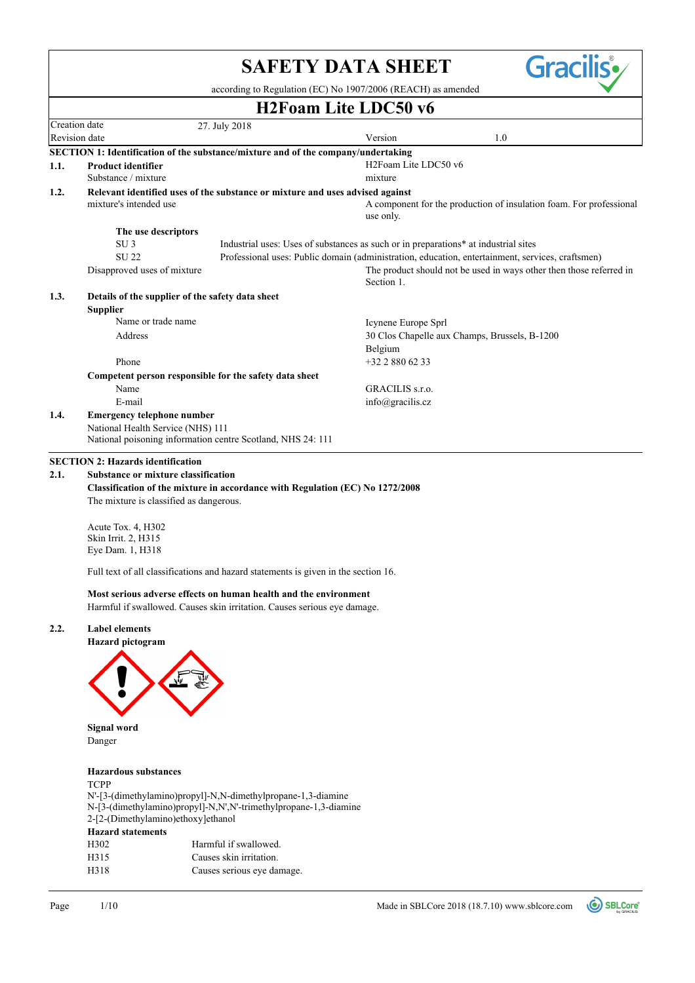|                                |                                                                                       |                                                                                                                                                                                         | <b>SAFETY DATA SHEET</b>                      |     | <b>Gracilis</b> •                                                   |
|--------------------------------|---------------------------------------------------------------------------------------|-----------------------------------------------------------------------------------------------------------------------------------------------------------------------------------------|-----------------------------------------------|-----|---------------------------------------------------------------------|
|                                |                                                                                       | according to Regulation (EC) No 1907/2006 (REACH) as amended                                                                                                                            |                                               |     |                                                                     |
|                                |                                                                                       |                                                                                                                                                                                         | <b>H2Foam Lite LDC50 v6</b>                   |     |                                                                     |
| Creation date<br>Revision date |                                                                                       | 27. July 2018                                                                                                                                                                           | Version                                       | 1.0 |                                                                     |
|                                |                                                                                       | SECTION 1: Identification of the substance/mixture and of the company/undertaking                                                                                                       |                                               |     |                                                                     |
| 1.1.                           | <b>Product identifier</b>                                                             |                                                                                                                                                                                         | H2Foam Lite LDC50 v6                          |     |                                                                     |
|                                | Substance / mixture                                                                   |                                                                                                                                                                                         | mixture                                       |     |                                                                     |
| 1.2.                           | mixture's intended use                                                                | Relevant identified uses of the substance or mixture and uses advised against                                                                                                           | use only.                                     |     | A component for the production of insulation foam. For professional |
|                                | The use descriptors                                                                   |                                                                                                                                                                                         |                                               |     |                                                                     |
|                                | SU <sub>3</sub><br><b>SU22</b><br>Disapproved uses of mixture                         | Industrial uses: Uses of substances as such or in preparations* at industrial sites<br>Professional uses: Public domain (administration, education, entertainment, services, craftsmen) |                                               |     | The product should not be used in ways other then those referred in |
|                                |                                                                                       |                                                                                                                                                                                         | Section 1.                                    |     |                                                                     |
| 1.3.                           | Details of the supplier of the safety data sheet<br><b>Supplier</b>                   |                                                                                                                                                                                         |                                               |     |                                                                     |
|                                | Name or trade name                                                                    |                                                                                                                                                                                         | Icynene Europe Sprl                           |     |                                                                     |
|                                | Address                                                                               |                                                                                                                                                                                         | 30 Clos Chapelle aux Champs, Brussels, B-1200 |     |                                                                     |
|                                |                                                                                       |                                                                                                                                                                                         | Belgium                                       |     |                                                                     |
|                                | Phone                                                                                 |                                                                                                                                                                                         | +32 2 880 62 33                               |     |                                                                     |
|                                | Name                                                                                  | Competent person responsible for the safety data sheet                                                                                                                                  | GRACILIS s.r.o.                               |     |                                                                     |
|                                | E-mail                                                                                |                                                                                                                                                                                         | info@gracilis.cz                              |     |                                                                     |
| 1.4.                           | <b>Emergency telephone number</b>                                                     |                                                                                                                                                                                         |                                               |     |                                                                     |
|                                | National Health Service (NHS) 111                                                     | National poisoning information centre Scotland, NHS 24: 111                                                                                                                             |                                               |     |                                                                     |
|                                | <b>SECTION 2: Hazards identification</b>                                              |                                                                                                                                                                                         |                                               |     |                                                                     |
| 2.1.                           | <b>Substance or mixture classification</b><br>The mixture is classified as dangerous. | Classification of the mixture in accordance with Regulation (EC) No 1272/2008                                                                                                           |                                               |     |                                                                     |
|                                | Acute Tox. 4, H302<br>Skin Irrit. 2, H315<br>Eye Dam. 1, H318                         |                                                                                                                                                                                         |                                               |     |                                                                     |
|                                |                                                                                       | Full text of all classifications and hazard statements is given in the section 16.                                                                                                      |                                               |     |                                                                     |
|                                |                                                                                       | Most serious adverse effects on human health and the environment<br>Harmful if swallowed. Causes skin irritation. Causes serious eye damage.                                            |                                               |     |                                                                     |
| 2.2.                           | <b>Label elements</b><br>Hazard pictogram                                             |                                                                                                                                                                                         |                                               |     |                                                                     |
|                                | <b>Signal word</b><br>Danger                                                          |                                                                                                                                                                                         |                                               |     |                                                                     |
|                                |                                                                                       |                                                                                                                                                                                         |                                               |     |                                                                     |
|                                | <b>Hazardous</b> substances<br><b>TCPP</b><br>2-[2-(Dimethylamino)ethoxy]ethanol      | N'-[3-(dimethylamino)propyl]-N,N-dimethylpropane-1,3-diamine<br>N-[3-(dimethylamino)propyl]-N,N',N'-trimethylpropane-1,3-diamine                                                        |                                               |     |                                                                     |
|                                | <b>Hazard statements</b>                                                              |                                                                                                                                                                                         |                                               |     |                                                                     |
|                                | H302<br>H315                                                                          | Harmful if swallowed.<br>Causes skin irritation.                                                                                                                                        |                                               |     |                                                                     |
|                                | H318                                                                                  | Causes serious eye damage.                                                                                                                                                              |                                               |     |                                                                     |
|                                |                                                                                       |                                                                                                                                                                                         |                                               |     |                                                                     |
|                                |                                                                                       |                                                                                                                                                                                         |                                               |     |                                                                     |

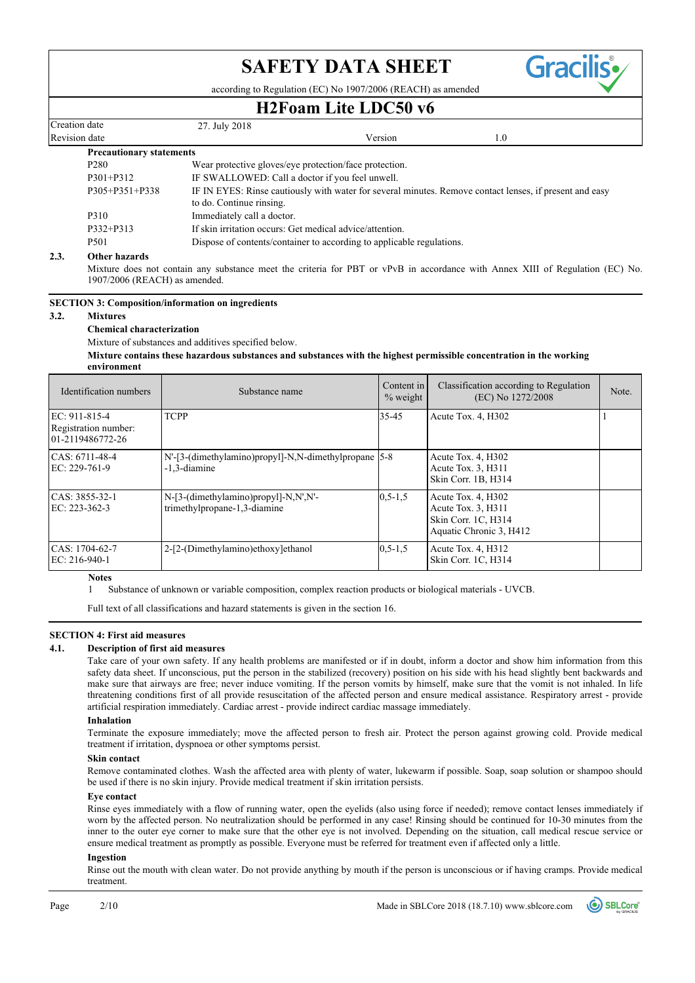according to Regulation (EC) No 1907/2006 (REACH) as amended

# **H2Foam Lite LDC50 v6**

|                                |                                 |                                                          | 1141 VAIII LIIV LIDUJV TV                                                                               |     |  |  |  |
|--------------------------------|---------------------------------|----------------------------------------------------------|---------------------------------------------------------------------------------------------------------|-----|--|--|--|
| Creation date<br>Revision date |                                 | 27. July 2018                                            |                                                                                                         |     |  |  |  |
|                                |                                 |                                                          | Version                                                                                                 | 1.0 |  |  |  |
|                                | <b>Precautionary statements</b> |                                                          |                                                                                                         |     |  |  |  |
| P <sub>280</sub>               |                                 | Wear protective gloves/eye protection/face protection.   |                                                                                                         |     |  |  |  |
| $P301 + P312$                  |                                 |                                                          | IF SWALLOWED: Call a doctor if you feel unwell.                                                         |     |  |  |  |
|                                | $P305 + P351 + P338$            | to do. Continue rinsing.                                 | IF IN EYES: Rinse cautiously with water for several minutes. Remove contact lenses, if present and easy |     |  |  |  |
| P310                           |                                 | Immediately call a doctor.                               |                                                                                                         |     |  |  |  |
|                                | P332+P313                       | If skin irritation occurs: Get medical advice/attention. |                                                                                                         |     |  |  |  |
| P <sub>501</sub>               |                                 |                                                          | Dispose of contents/container to according to applicable regulations.                                   |     |  |  |  |
| າາ                             | Othou horoude                   |                                                          |                                                                                                         |     |  |  |  |

#### **2.3. Other hazards**

Mixture does not contain any substance meet the criteria for PBT or vPvB in accordance with Annex XIII of Regulation (EC) No. 1907/2006 (REACH) as amended.

**SECTION 3: Composition/information on ingredients**

#### **3.2. Mixtures**

### **Chemical characterization**

Mixture of substances and additives specified below.

**Mixture contains these hazardous substances and substances with the highest permissible concentration in the working environment**

| Identification numbers                                    | Substance name                                                         | Content in<br>$%$ weight | Classification according to Regulation<br>(EC) No 1272/2008                                | Note. |
|-----------------------------------------------------------|------------------------------------------------------------------------|--------------------------|--------------------------------------------------------------------------------------------|-------|
| EC: 911-815-4<br>Registration number:<br>01-2119486772-26 | <b>TCPP</b>                                                            | 35-45                    | Acute Tox. 4, H302                                                                         |       |
| $CAS: 6711-48-4$<br>$EC: 229-761-9$                       | N'-[3-(dimethylamino)propyl]-N,N-dimethylpropane [5-8]<br>-1.3-diamine |                          | Acute Tox. 4, H302<br>Acute Tox. 3, H311<br>Skin Corr. 1B, H314                            |       |
| CAS: 3855-32-1<br>$EC: 223-362-3$                         | N-[3-(dimethylamino)propyl]-N,N',N'-<br>trimethylpropane-1,3-diamine   | $0.5 - 1.5$              | Acute Tox. 4, H302<br>Acute Tox. 3, H311<br>Skin Corr. 1C, H314<br>Aquatic Chronic 3, H412 |       |
| CAS: 1704-62-7<br>EC: $216-940-1$                         | 2-[2-(Dimethylamino)ethoxy]ethanol                                     | $0.5 - 1.5$              | Acute Tox. 4, H312<br>Skin Corr. 1C, H314                                                  |       |

#### **Notes**

1 Substance of unknown or variable composition, complex reaction products or biological materials - UVCB.

Full text of all classifications and hazard statements is given in the section 16.

#### **SECTION 4: First aid measures**

#### **4.1. Description of first aid measures**

Take care of your own safety. If any health problems are manifested or if in doubt, inform a doctor and show him information from this safety data sheet. If unconscious, put the person in the stabilized (recovery) position on his side with his head slightly bent backwards and make sure that airways are free; never induce vomiting. If the person vomits by himself, make sure that the vomit is not inhaled. In life threatening conditions first of all provide resuscitation of the affected person and ensure medical assistance. Respiratory arrest - provide artificial respiration immediately. Cardiac arrest - provide indirect cardiac massage immediately.

#### **Inhalation**

Terminate the exposure immediately; move the affected person to fresh air. Protect the person against growing cold. Provide medical treatment if irritation, dyspnoea or other symptoms persist.

#### **Skin contact**

Remove contaminated clothes. Wash the affected area with plenty of water, lukewarm if possible. Soap, soap solution or shampoo should be used if there is no skin injury. Provide medical treatment if skin irritation persists.

#### **Eye contact**

Rinse eyes immediately with a flow of running water, open the eyelids (also using force if needed); remove contact lenses immediately if worn by the affected person. No neutralization should be performed in any case! Rinsing should be continued for 10-30 minutes from the inner to the outer eye corner to make sure that the other eye is not involved. Depending on the situation, call medical rescue service or ensure medical treatment as promptly as possible. Everyone must be referred for treatment even if affected only a little.

#### **Ingestion**

Rinse out the mouth with clean water. Do not provide anything by mouth if the person is unconscious or if having cramps. Provide medical treatment.



**Gracilis**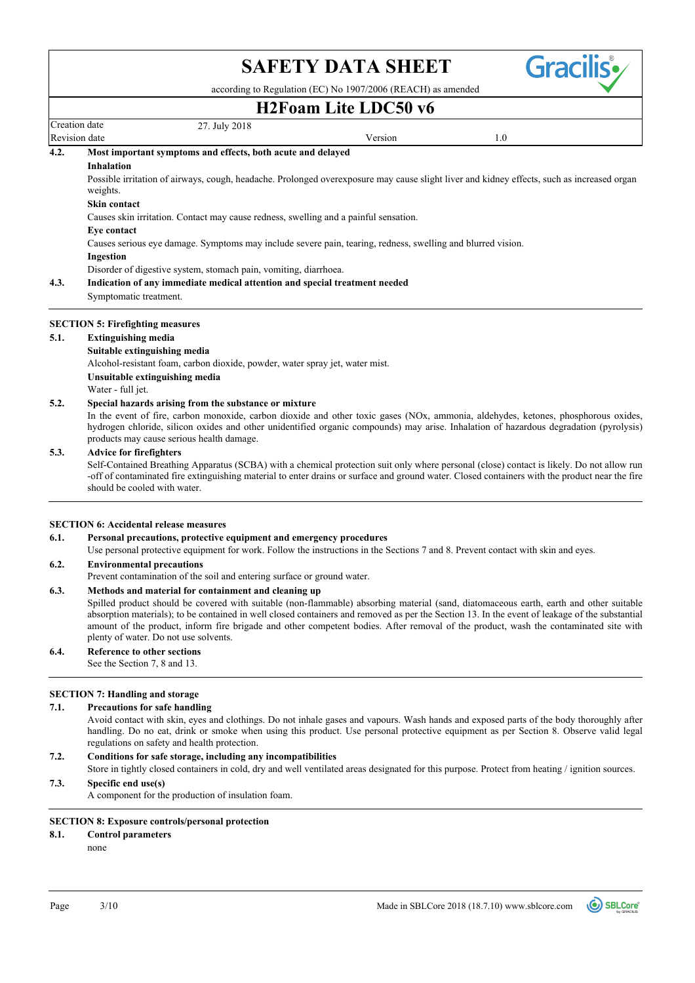Gracili

according to Regulation (EC) No 1907/2006 (REACH) as amended

## Revision date and the version of the Version of the Version of the Version of the Version of the Version of the Version of the Version of the Version of the Version of the Version of the Version of the Version of the Versi Creation date 27. July 2018 **H2Foam Lite LDC50 v6** Disorder of digestive system, stomach pain, vomiting, diarrhoea. **Ingestion** Causes serious eye damage. Symptoms may include severe pain, tearing, redness, swelling and blurred vision. **Eye contact** Causes skin irritation. Contact may cause redness, swelling and a painful sensation. **Skin contact** Possible irritation of airways, cough, headache. Prolonged overexposure may cause slight liver and kidney effects, such as increased organ weights. **Inhalation 4.2. Most important symptoms and effects, both acute and delayed** Symptomatic treatment. **4.3. Indication of any immediate medical attention and special treatment needed 5.2. Special hazards arising from the substance or mixture** Water - full jet. **Unsuitable extinguishing media** Alcohol-resistant foam, carbon dioxide, powder, water spray jet, water mist. **Suitable extinguishing media 5.1. Extinguishing media SECTION 5: Firefighting measures**

In the event of fire, carbon monoxide, carbon dioxide and other toxic gases (NOx, ammonia, aldehydes, ketones, phosphorous oxides, hydrogen chloride, silicon oxides and other unidentified organic compounds) may arise. Inhalation of hazardous degradation (pyrolysis) products may cause serious health damage.

### **5.3. Advice for firefighters**

Self-Contained Breathing Apparatus (SCBA) with a chemical protection suit only where personal (close) contact is likely. Do not allow run -off of contaminated fire extinguishing material to enter drains or surface and ground water. Closed containers with the product near the fire should be cooled with water.

#### **SECTION 6: Accidental release measures**

#### **6.1. Personal precautions, protective equipment and emergency procedures**

Use personal protective equipment for work. Follow the instructions in the Sections 7 and 8. Prevent contact with skin and eyes.

#### **6.2. Environmental precautions**

Prevent contamination of the soil and entering surface or ground water.

#### **6.3. Methods and material for containment and cleaning up**

Spilled product should be covered with suitable (non-flammable) absorbing material (sand, diatomaceous earth, earth and other suitable absorption materials); to be contained in well closed containers and removed as per the Section 13. In the event of leakage of the substantial amount of the product, inform fire brigade and other competent bodies. After removal of the product, wash the contaminated site with plenty of water. Do not use solvents.

#### **6.4. Reference to other sections**

See the Section 7, 8 and 13.

#### **SECTION 7: Handling and storage**

#### **7.1. Precautions for safe handling**

Avoid contact with skin, eyes and clothings. Do not inhale gases and vapours. Wash hands and exposed parts of the body thoroughly after handling. Do no eat, drink or smoke when using this product. Use personal protective equipment as per Section 8. Observe valid legal regulations on safety and health protection.

#### **7.2. Conditions for safe storage, including any incompatibilities**

Store in tightly closed containers in cold, dry and well ventilated areas designated for this purpose. Protect from heating / ignition sources.

## **7.3. Specific end use(s)**

A component for the production of insulation foam.

#### **SECTION 8: Exposure controls/personal protection**

- **8.1. Control parameters**
	- none

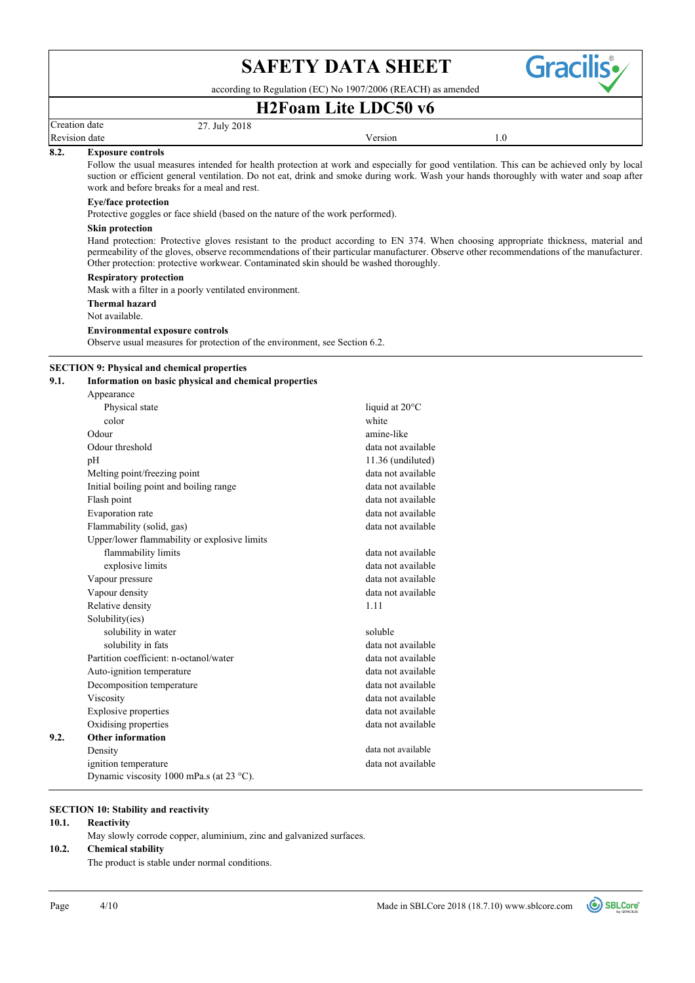

according to Regulation (EC) No 1907/2006 (REACH) as amended

## **H2Foam Lite LDC50 v6**

| reation date |  |
|--------------|--|
|              |  |

Revision date and the version of the Version of the Version of the Version of the Version of the Version of the Version of the Version of the Version of the Version of the Version of the Version of the Version of the Versi

#### **8.2. Exposure controls**

Follow the usual measures intended for health protection at work and especially for good ventilation. This can be achieved only by local suction or efficient general ventilation. Do not eat, drink and smoke during work. Wash your hands thoroughly with water and soap after work and before breaks for a meal and rest.

### **Eye/face protection**

Protective goggles or face shield (based on the nature of the work performed).

27. July 2018

#### **Skin protection**

Hand protection: Protective gloves resistant to the product according to EN 374. When choosing appropriate thickness, material and permeability of the gloves, observe recommendations of their particular manufacturer. Observe other recommendations of the manufacturer. Other protection: protective workwear. Contaminated skin should be washed thoroughly.

#### **Respiratory protection**

Mask with a filter in a poorly ventilated environment.

**Thermal hazard**

Not available.

#### **Environmental exposure controls**

Observe usual measures for protection of the environment, see Section 6.2.

#### **SECTION 9: Physical and chemical properties**

#### **9.1. Information on basic physical and chemical properties**

|      | Appearance                                   |                          |
|------|----------------------------------------------|--------------------------|
|      | Physical state                               | liquid at $20^{\circ}$ C |
|      | color                                        | white                    |
|      | Odour                                        | amine-like               |
|      | Odour threshold                              | data not available       |
|      | pH                                           | 11.36 (undiluted)        |
|      | Melting point/freezing point                 | data not available       |
|      | Initial boiling point and boiling range      | data not available       |
|      | Flash point                                  | data not available       |
|      | Evaporation rate                             | data not available       |
|      | Flammability (solid, gas)                    | data not available       |
|      | Upper/lower flammability or explosive limits |                          |
|      | flammability limits                          | data not available       |
|      | explosive limits                             | data not available       |
|      | Vapour pressure                              | data not available       |
|      | Vapour density                               | data not available       |
|      | Relative density                             | 1.11                     |
|      | Solubility(ies)                              |                          |
|      | solubility in water                          | soluble                  |
|      | solubility in fats                           | data not available       |
|      | Partition coefficient: n-octanol/water       | data not available       |
|      | Auto-ignition temperature                    | data not available       |
|      | Decomposition temperature                    | data not available       |
|      | Viscosity                                    | data not available       |
|      | <b>Explosive properties</b>                  | data not available       |
|      | Oxidising properties                         | data not available       |
| 9.2. | <b>Other information</b>                     |                          |
|      | Density                                      | data not available       |
|      | ignition temperature                         | data not available       |
|      | Dynamic viscosity 1000 mPa.s (at 23 °C).     |                          |
|      |                                              |                          |

### **SECTION 10: Stability and reactivity**

#### **10.1. Reactivity**

May slowly corrode copper, aluminium, zinc and galvanized surfaces.

# **10.2. Chemical stability**

The product is stable under normal conditions.

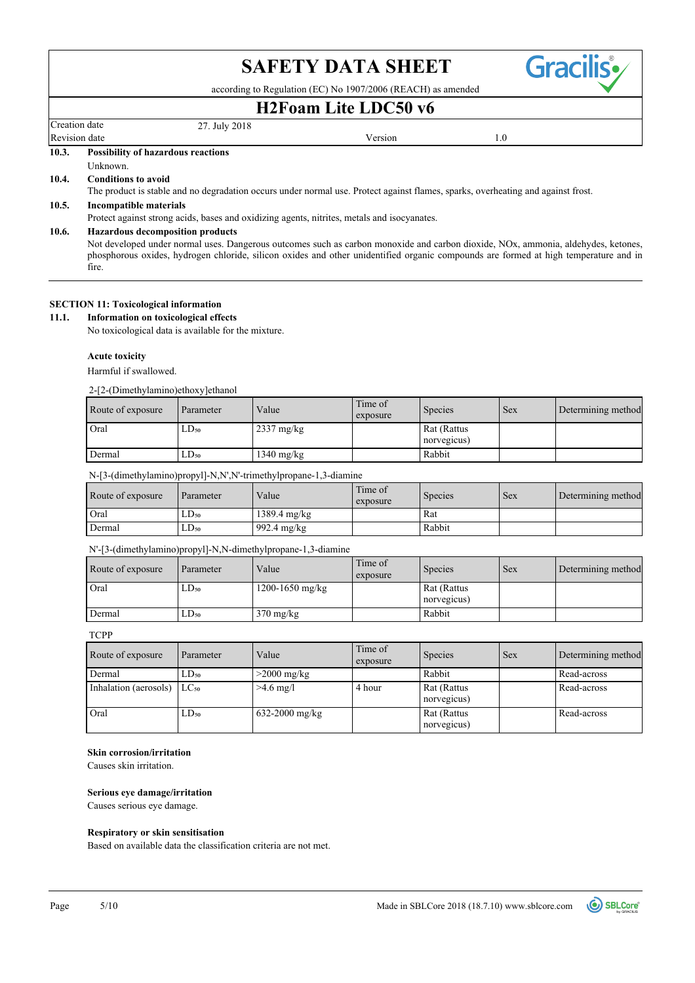according to Regulation (EC) No 1907/2006 (REACH) as amended

# **H2Foam Lite LDC50 v6**

# Creation date 27. July 2018

Revision date and the version of the Version of the Version of the Version of the Version of the Version of the Version of the Version of the Version of the Version of the Version of the Version of the Version of the Versi

**Gracilis** 

**10.3. Possibility of hazardous reactions**

#### Unknown.

### **10.4. Conditions to avoid**

The product is stable and no degradation occurs under normal use. Protect against flames, sparks, overheating and against frost.

#### **10.5. Incompatible materials**

Protect against strong acids, bases and oxidizing agents, nitrites, metals and isocyanates.

#### **10.6. Hazardous decomposition products**

Not developed under normal uses. Dangerous outcomes such as carbon monoxide and carbon dioxide, NOx, ammonia, aldehydes, ketones, phosphorous oxides, hydrogen chloride, silicon oxides and other unidentified organic compounds are formed at high temperature and in fire.

#### **SECTION 11: Toxicological information**

#### **11.1. Information on toxicological effects**

No toxicological data is available for the mixture.

#### **Acute toxicity**

Harmful if swallowed.

2-[2-(Dimethylamino)ethoxy]ethanol

| Route of exposure | Parameter | Value                | Time of<br>exposure | <b>Species</b>             | <b>Sex</b> | Determining method |
|-------------------|-----------|----------------------|---------------------|----------------------------|------------|--------------------|
| Oral              | LD50      | $2337 \text{ mg/kg}$ |                     | Rat (Rattus<br>norvegicus) |            |                    |
| Dermal            | $LD_{50}$ | $1340 \text{ mg/kg}$ |                     | Rabbit                     |            |                    |

#### N-[3-(dimethylamino)propyl]-N,N',N'-trimethylpropane-1,3-diamine

| Route of exposure | Parameter | Value                 | Time of<br>exposure | <b>Species</b> | Sex | Determining method |
|-------------------|-----------|-----------------------|---------------------|----------------|-----|--------------------|
| Oral              | LD50      | 1389.4 mg/kg          |                     | Rat            |     |                    |
| Dermal            | $LD_{50}$ | $992.4 \text{ mg/kg}$ |                     | Rabbit         |     |                    |

#### N'-[3-(dimethylamino)propyl]-N,N-dimethylpropane-1,3-diamine

| Route of exposure | Parameter | Value               | Time of<br>exposure | Species                    | <b>Sex</b> | Determining method |
|-------------------|-----------|---------------------|---------------------|----------------------------|------------|--------------------|
| Oral              | LD50      | $1200 - 1650$ mg/kg |                     | Rat (Rattus<br>norvegicus) |            |                    |
| Dermal            | $LD_{50}$ | $370 \text{ mg/kg}$ |                     | Rabbit                     |            |                    |

**TCPP** 

| Route of exposure               | Parameter | Value          | Time of<br>exposure | Species                    | Sex | Determining method |
|---------------------------------|-----------|----------------|---------------------|----------------------------|-----|--------------------|
| Dermal                          | LD50      | $>2000$ mg/kg  |                     | Rabbit                     |     | Read-across        |
| Inhalation (aerosols) $LC_{50}$ |           | $>4.6$ mg/l    | 4 hour              | Rat (Rattus<br>norvegicus) |     | Read-across        |
| Oral                            | LD50      | 632-2000 mg/kg |                     | Rat (Rattus<br>norvegicus) |     | Read-across        |

#### **Skin corrosion/irritation**

Causes skin irritation.

#### **Serious eye damage/irritation**

Causes serious eye damage.

#### **Respiratory or skin sensitisation**

Based on available data the classification criteria are not met.

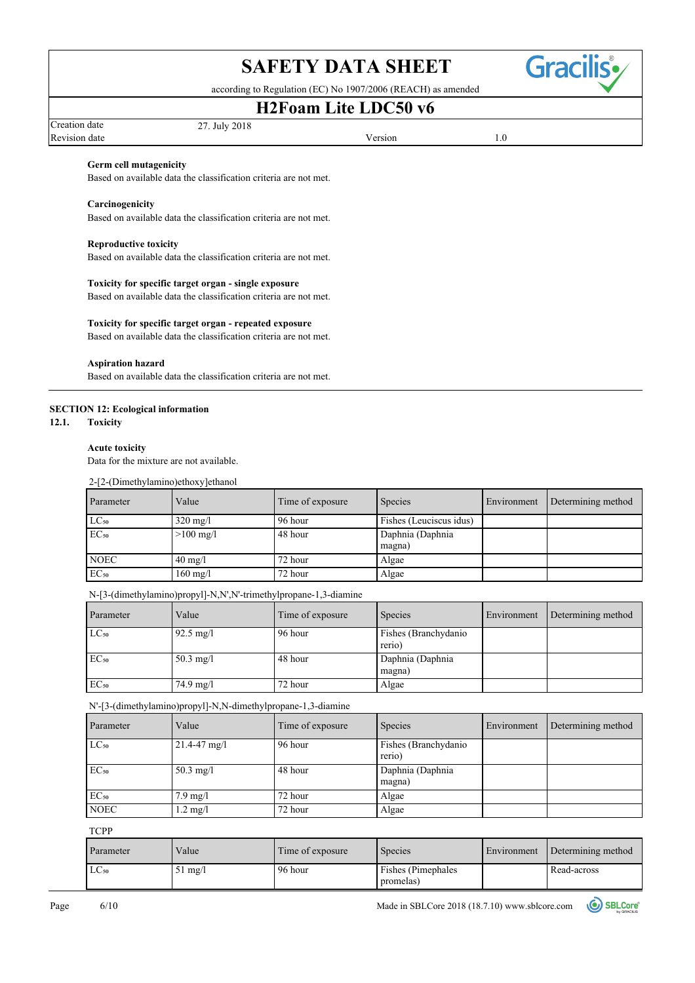Gracil

according to Regulation (EC) No 1907/2006 (REACH) as amended

# **H2Foam Lite LDC50 v6**

| Creation date | 27. July 2018 |         |  |
|---------------|---------------|---------|--|
| Revision date |               | Version |  |

### **Germ cell mutagenicity**

Based on available data the classification criteria are not met.

#### **Carcinogenicity**

Based on available data the classification criteria are not met.

#### **Reproductive toxicity**

Based on available data the classification criteria are not met.

#### **Toxicity for specific target organ - single exposure**

Based on available data the classification criteria are not met.

#### **Toxicity for specific target organ - repeated exposure**

Based on available data the classification criteria are not met.

#### **Aspiration hazard**

Based on available data the classification criteria are not met.

#### **SECTION 12: Ecological information**

**12.1. Toxicity**

#### **Acute toxicity**

Data for the mixture are not available.

2-[2-(Dimethylamino)ethoxy]ethanol

| Parameter        | Value               | Time of exposure | <b>Species</b>             | Environment | Determining method |
|------------------|---------------------|------------------|----------------------------|-------------|--------------------|
| $LC_{50}$        | $320 \text{ mg}/1$  | 96 hour          | Fishes (Leuciscus idus)    |             |                    |
| EC <sub>50</sub> | $>100 \text{ mg}/1$ | 48 hour          | Daphnia (Daphnia<br>magna) |             |                    |
| <b>NOEC</b>      | $40 \text{ mg}/1$   | 72 hour          | Algae                      |             |                    |
| EC <sub>50</sub> | $160 \text{ mg}/1$  | 72 hour          | Algae                      |             |                    |

N-[3-(dimethylamino)propyl]-N,N',N'-trimethylpropane-1,3-diamine

| <b>Parameter</b> | Value               | Time of exposure | Species                         | Environment | Determining method |
|------------------|---------------------|------------------|---------------------------------|-------------|--------------------|
| $LC_{50}$        | $92.5 \text{ mg}/1$ | 96 hour          | Fishes (Branchydanio)<br>rerio) |             |                    |
| $EC_{50}$        | $50.3 \text{ mg}/1$ | 48 hour          | Daphnia (Daphnia<br>magna)      |             |                    |
| $EC_{50}$        | $74.9 \text{ mg}/1$ | 72 hour          | Algae                           |             |                    |

N'-[3-(dimethylamino)propyl]-N,N-dimethylpropane-1,3-diamine

| Parameter   | Value               | Time of exposure | Species                         | Environment | Determining method |
|-------------|---------------------|------------------|---------------------------------|-------------|--------------------|
| $LC_{50}$   | $21.4 - 47$ mg/l    | 96 hour          | Fishes (Branchydanio)<br>rerio) |             |                    |
| $EC_{50}$   | $50.3 \text{ mg}/l$ | 48 hour          | Daphnia (Daphnia<br>magna)      |             |                    |
| $EC_{50}$   | $7.9 \text{ mg}/l$  | 72 hour          | Algae                           |             |                    |
| <b>NOEC</b> | $1.2 \text{ mg}/l$  | 72 hour          | Algae                           |             |                    |

**TCPP** 

| Parameter | Value             | Time of exposure | Species                                | Environment | Determining method |
|-----------|-------------------|------------------|----------------------------------------|-------------|--------------------|
| $LC_{50}$ | $51 \text{ mg}/1$ | 96 hour          | <b>Fishes</b> (Pimephales<br>promelas) |             | Read-across        |

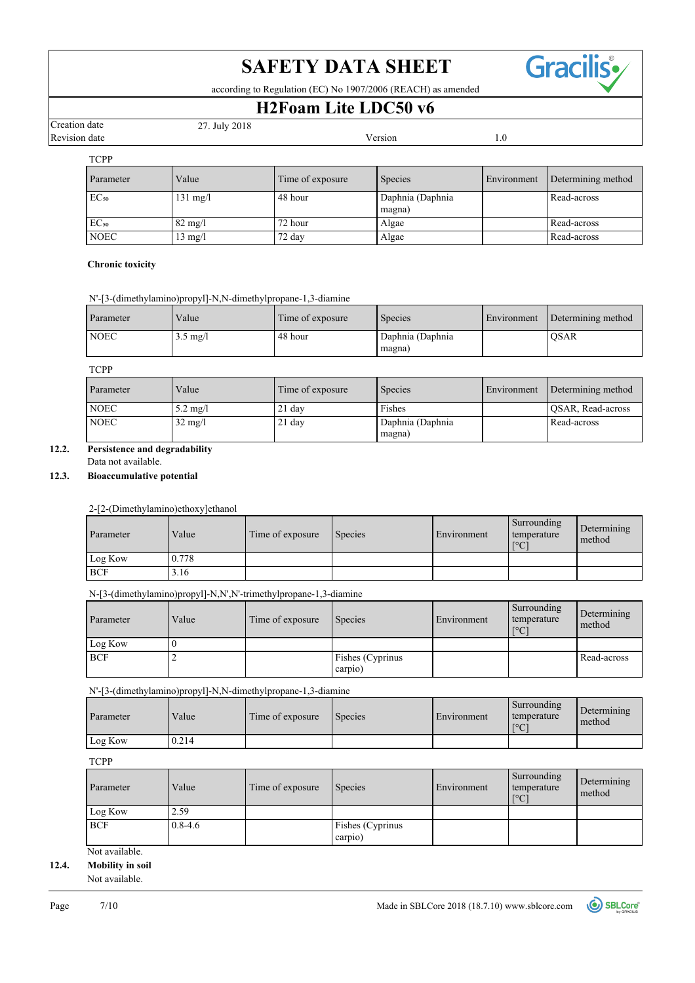Gracilis•

according to Regulation (EC) No 1907/2006 (REACH) as amended

# **H2Foam Lite LDC50 v6**

| Creation date |  |
|---------------|--|
| Revision date |  |

| Creation date |                  | 27. July 2018      |                  |                            |             |                    |
|---------------|------------------|--------------------|------------------|----------------------------|-------------|--------------------|
|               | Revision date    |                    | Version          |                            | 1.0         |                    |
|               | <b>TCPP</b>      |                    |                  |                            |             |                    |
|               | Parameter        | Value              | Time of exposure | Species                    | Environment | Determining method |
|               | EC <sub>50</sub> | $131 \text{ mg}/1$ | 48 hour          | Daphnia (Daphnia<br>magna) |             | Read-across        |
|               | EC <sub>50</sub> | $82 \text{ mg}/1$  | 72 hour          | Algae                      |             | Read-across        |
|               | <b>NOEC</b>      | $13 \text{ mg}/l$  | 72 day           | Algae                      |             | Read-across        |

### **Chronic toxicity**

|  |  |  |  | N'-[3-(dimethylamino)propyl]-N,N-dimethylpropane-1,3-diamine |
|--|--|--|--|--------------------------------------------------------------|

| Parameter   | Value              | Time of exposure | <b>Species</b>             | Environment | Determining method |
|-------------|--------------------|------------------|----------------------------|-------------|--------------------|
| <b>NOEC</b> | $3.5 \text{ mg}/l$ | 48 hour          | Daphnia (Daphnia<br>magna) |             | <b>OSAR</b>        |

## TCPP

| Parameter   | Value              | Time of exposure | <b>Species</b>             | Environment | Determining method |
|-------------|--------------------|------------------|----------------------------|-------------|--------------------|
| <b>NOEC</b> | $5.2 \text{ mg}/l$ | $21$ day         | Fishes                     |             | QSAR, Read-across  |
| <b>NOEC</b> | $32 \text{ mg}/l$  | $21$ day         | Daphnia (Daphnia<br>magna) |             | Read-across        |

## **12.2. Persistence and degradability**

Data not available.

## **12.3. Bioaccumulative potential**

2-[2-(Dimethylamino)ethoxy]ethanol

| Parameter  | Value | 1 Time of exposure | Species | Environment | Surrounding<br>temperature<br>$\Gamma^{\circ}$ C | Determining<br>method |
|------------|-------|--------------------|---------|-------------|--------------------------------------------------|-----------------------|
| Log Kow    | 0.778 |                    |         |             |                                                  |                       |
| <b>BCF</b> | 3.16  |                    |         |             |                                                  |                       |

N-[3-(dimethylamino)propyl]-N,N',N'-trimethylpropane-1,3-diamine

| Parameter  | Value | Time of exposure | <b>Species</b>   | Environment | Surrounding<br>temperature<br>$\Gamma^{\circ}$ C | Determining<br>method |
|------------|-------|------------------|------------------|-------------|--------------------------------------------------|-----------------------|
| Log Kow    |       |                  |                  |             |                                                  |                       |
| <b>BCF</b> |       |                  | Fishes (Cyprinus |             |                                                  | Read-across           |
|            |       |                  | carpio)          |             |                                                  |                       |

N'-[3-(dimethylamino)propyl]-N,N-dimethylpropane-1,3-diamine

| Parameter | Value | Time of exposure | Species | Environment | Surrounding<br>temperature<br>$\sim$ $\sim$<br>$\cdot$ | Determining<br>method |
|-----------|-------|------------------|---------|-------------|--------------------------------------------------------|-----------------------|
| Log Kow   | 0.214 |                  |         |             |                                                        |                       |

**TCPP** 

| Parameter  | Value       | Time of exposure | <b>Species</b>   | Environment | Surrounding<br>temperature<br>$\mathsf{I}^{\circ}\mathsf{C}$ | Determining<br>method |
|------------|-------------|------------------|------------------|-------------|--------------------------------------------------------------|-----------------------|
| Log Kow    | 2.59        |                  |                  |             |                                                              |                       |
| <b>BCF</b> | $0.8 - 4.6$ |                  | Fishes (Cyprinus |             |                                                              |                       |
|            |             |                  | carpio)          |             |                                                              |                       |

Not available.

## **12.4. Mobility in soil**

Not available.

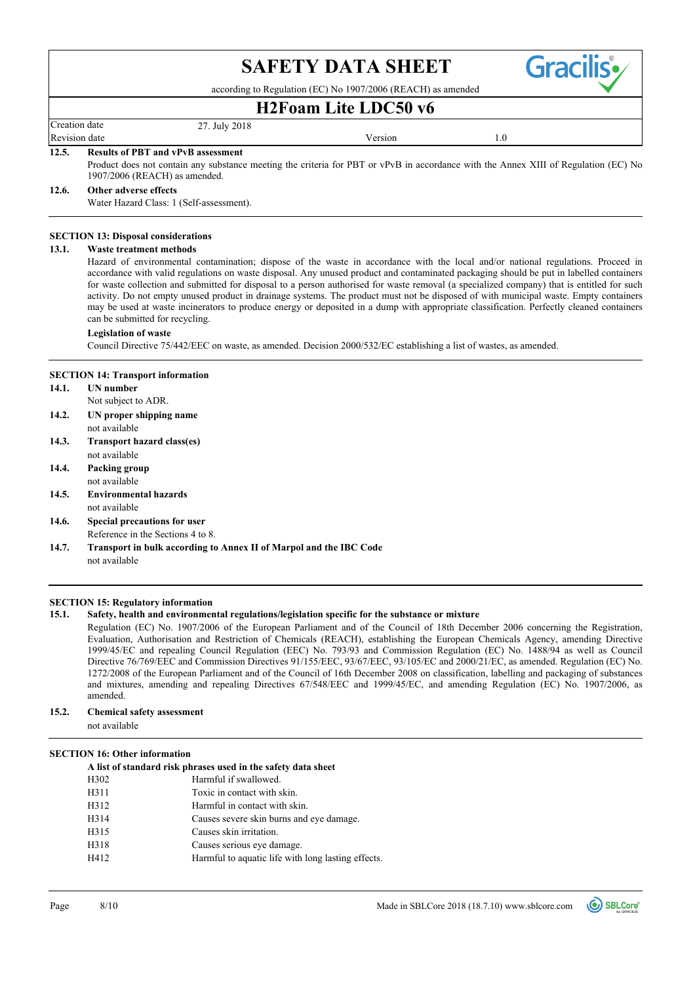

according to Regulation (EC) No 1907/2006 (REACH) as amended

## **H2Foam Lite LDC50 v6**

Creation date 27. July 2018 Revision date

Revision date and the version of the Version of the Version of the Version of the Version of the Version of the Version of the Version of the Version of the Version of the Version of the Version of the Version of the Versi

#### **12.5. Results of PBT and vPvB assessment**

Product does not contain any substance meeting the criteria for PBT or vPvB in accordance with the Annex XIII of Regulation (EC) No 1907/2006 (REACH) as amended.

#### **12.6. Other adverse effects**

Water Hazard Class: 1 (Self-assessment).

#### **SECTION 13: Disposal considerations**

#### **13.1. Waste treatment methods**

Hazard of environmental contamination; dispose of the waste in accordance with the local and/or national regulations. Proceed in accordance with valid regulations on waste disposal. Any unused product and contaminated packaging should be put in labelled containers for waste collection and submitted for disposal to a person authorised for waste removal (a specialized company) that is entitled for such activity. Do not empty unused product in drainage systems. The product must not be disposed of with municipal waste. Empty containers may be used at waste incinerators to produce energy or deposited in a dump with appropriate classification. Perfectly cleaned containers can be submitted for recycling.

#### **Legislation of waste**

Council Directive 75/442/EEC on waste, as amended. Decision 2000/532/EC establishing a list of wastes, as amended.

#### **SECTION 14: Transport information**

- **14.1. UN number**
- Not subject to ADR.
- **14.2. UN proper shipping name**
- not available
- not available **14.3. Transport hazard class(es)**
- **14.4. Packing group**
- not available
- **14.5. Environmental hazards**
- not available
- Reference in the Sections 4 to 8. **14.6. Special precautions for user**
- not available **14.7. Transport in bulk according to Annex II of Marpol and the IBC Code**

#### **SECTION 15: Regulatory information**

#### **15.1. Safety, health and environmental regulations/legislation specific for the substance or mixture**

Regulation (EC) No. 1907/2006 of the European Parliament and of the Council of 18th December 2006 concerning the Registration, Evaluation, Authorisation and Restriction of Chemicals (REACH), establishing the European Chemicals Agency, amending Directive 1999/45/EC and repealing Council Regulation (EEC) No. 793/93 and Commission Regulation (EC) No. 1488/94 as well as Council Directive 76/769/EEC and Commission Directives 91/155/EEC, 93/67/EEC, 93/105/EC and 2000/21/EC, as amended. Regulation (EC) No. 1272/2008 of the European Parliament and of the Council of 16th December 2008 on classification, labelling and packaging of substances and mixtures, amending and repealing Directives 67/548/EEC and 1999/45/EC, and amending Regulation (EC) No. 1907/2006, as amended.

## **15.2. Chemical safety assessment**

not available

#### **SECTION 16: Other information**

|      | A list of standard risk phrases used in the safety data sheet |
|------|---------------------------------------------------------------|
| H302 | Harmful if swallowed.                                         |
| H311 | Toxic in contact with skin.                                   |
| H312 | Harmful in contact with skin.                                 |
| H314 | Causes severe skin burns and eye damage.                      |
| H315 | Causes skin irritation.                                       |
| H318 | Causes serious eye damage.                                    |
| H412 | Harmful to aquatic life with long lasting effects.            |

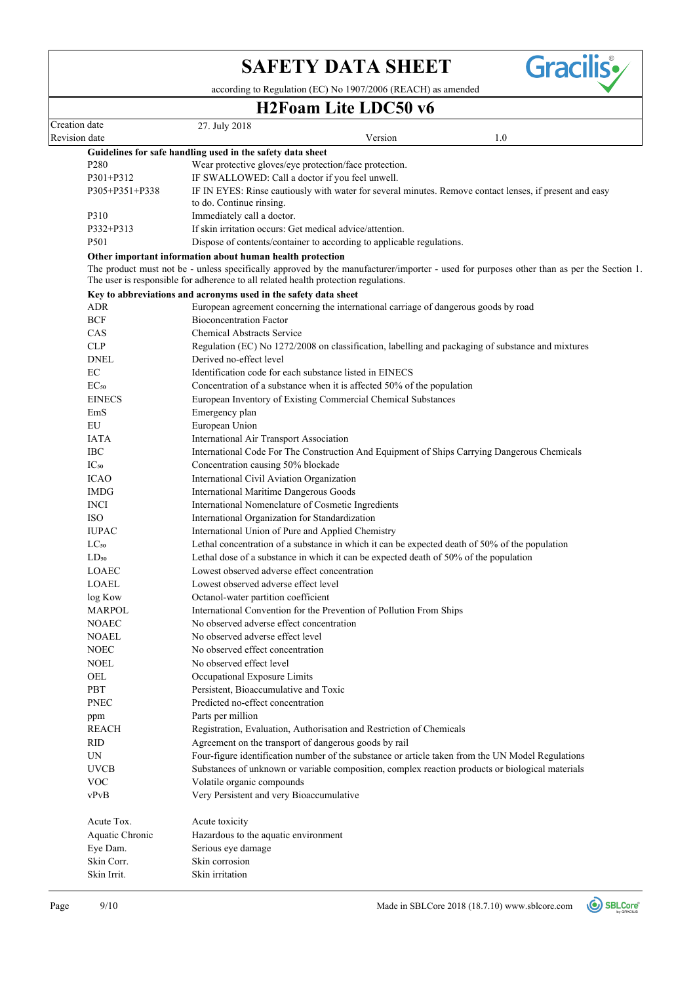**Gracilis** 

according to Regulation (EC) No 1907/2006 (REACH) as amended

## **H2Foam Lite LDC50 v6**

| Creation date |                        | 27. July 2018                                                                                                                                                                                                                   |
|---------------|------------------------|---------------------------------------------------------------------------------------------------------------------------------------------------------------------------------------------------------------------------------|
| Revision date |                        | Version<br>1.0                                                                                                                                                                                                                  |
|               |                        | Guidelines for safe handling used in the safety data sheet                                                                                                                                                                      |
|               | P <sub>280</sub>       | Wear protective gloves/eye protection/face protection.                                                                                                                                                                          |
|               | P301+P312              | IF SWALLOWED: Call a doctor if you feel unwell.                                                                                                                                                                                 |
|               | P305+P351+P338         | IF IN EYES: Rinse cautiously with water for several minutes. Remove contact lenses, if present and easy<br>to do. Continue rinsing.                                                                                             |
|               | P310                   | Immediately call a doctor.                                                                                                                                                                                                      |
|               | P332+P313              | If skin irritation occurs: Get medical advice/attention.                                                                                                                                                                        |
|               | P501                   | Dispose of contents/container to according to applicable regulations.                                                                                                                                                           |
|               |                        | Other important information about human health protection                                                                                                                                                                       |
|               |                        | The product must not be - unless specifically approved by the manufacturer/importer - used for purposes other than as per the Section 1.<br>The user is responsible for adherence to all related health protection regulations. |
|               |                        | Key to abbreviations and acronyms used in the safety data sheet                                                                                                                                                                 |
|               | ADR                    | European agreement concerning the international carriage of dangerous goods by road                                                                                                                                             |
|               | <b>BCF</b>             | <b>Bioconcentration Factor</b>                                                                                                                                                                                                  |
|               | CAS                    | <b>Chemical Abstracts Service</b>                                                                                                                                                                                               |
|               | <b>CLP</b>             | Regulation (EC) No 1272/2008 on classification, labelling and packaging of substance and mixtures                                                                                                                               |
|               | <b>DNEL</b>            | Derived no-effect level                                                                                                                                                                                                         |
|               | EC                     | Identification code for each substance listed in EINECS                                                                                                                                                                         |
|               | EC <sub>50</sub>       | Concentration of a substance when it is affected 50% of the population                                                                                                                                                          |
|               | <b>EINECS</b>          | European Inventory of Existing Commercial Chemical Substances                                                                                                                                                                   |
|               | EmS                    | Emergency plan                                                                                                                                                                                                                  |
|               | EU                     | European Union                                                                                                                                                                                                                  |
|               | <b>IATA</b>            | International Air Transport Association                                                                                                                                                                                         |
|               | <b>IBC</b>             | International Code For The Construction And Equipment of Ships Carrying Dangerous Chemicals                                                                                                                                     |
|               | $IC_{50}$              | Concentration causing 50% blockade                                                                                                                                                                                              |
|               | <b>ICAO</b>            | International Civil Aviation Organization                                                                                                                                                                                       |
|               | <b>IMDG</b>            | International Maritime Dangerous Goods                                                                                                                                                                                          |
|               | <b>INCI</b>            | International Nomenclature of Cosmetic Ingredients                                                                                                                                                                              |
|               | <b>ISO</b>             | International Organization for Standardization                                                                                                                                                                                  |
|               | <b>IUPAC</b>           | International Union of Pure and Applied Chemistry                                                                                                                                                                               |
|               | $LC_{50}$              | Lethal concentration of a substance in which it can be expected death of 50% of the population                                                                                                                                  |
|               | $LD_{50}$              | Lethal dose of a substance in which it can be expected death of 50% of the population                                                                                                                                           |
|               | <b>LOAEC</b>           | Lowest observed adverse effect concentration                                                                                                                                                                                    |
|               | LOAEL                  | Lowest observed adverse effect level                                                                                                                                                                                            |
|               |                        |                                                                                                                                                                                                                                 |
|               | log Kow                | Octanol-water partition coefficient<br>International Convention for the Prevention of Pollution From Ships                                                                                                                      |
|               | MARPOL<br><b>NOAEC</b> | No observed adverse effect concentration                                                                                                                                                                                        |
|               |                        |                                                                                                                                                                                                                                 |
|               | <b>NOAEL</b>           | No observed adverse effect level                                                                                                                                                                                                |
|               | NOEC                   | No observed effect concentration                                                                                                                                                                                                |
|               | <b>NOEL</b>            | No observed effect level                                                                                                                                                                                                        |
|               | OEL                    | Occupational Exposure Limits                                                                                                                                                                                                    |
|               | PBT                    | Persistent, Bioaccumulative and Toxic                                                                                                                                                                                           |
|               | <b>PNEC</b>            | Predicted no-effect concentration                                                                                                                                                                                               |
|               | ppm                    | Parts per million                                                                                                                                                                                                               |
|               | <b>REACH</b>           | Registration, Evaluation, Authorisation and Restriction of Chemicals                                                                                                                                                            |
|               | <b>RID</b>             | Agreement on the transport of dangerous goods by rail                                                                                                                                                                           |
|               | UN                     | Four-figure identification number of the substance or article taken from the UN Model Regulations                                                                                                                               |
|               | <b>UVCB</b>            | Substances of unknown or variable composition, complex reaction products or biological materials                                                                                                                                |
|               | <b>VOC</b>             | Volatile organic compounds                                                                                                                                                                                                      |
|               | vPvB                   | Very Persistent and very Bioaccumulative                                                                                                                                                                                        |
|               | Acute Tox.             | Acute toxicity                                                                                                                                                                                                                  |
|               | Aquatic Chronic        | Hazardous to the aquatic environment                                                                                                                                                                                            |
|               | Eye Dam.               | Serious eye damage                                                                                                                                                                                                              |
|               | Skin Corr.             | Skin corrosion                                                                                                                                                                                                                  |
|               | Skin Irrit.            | Skin irritation                                                                                                                                                                                                                 |